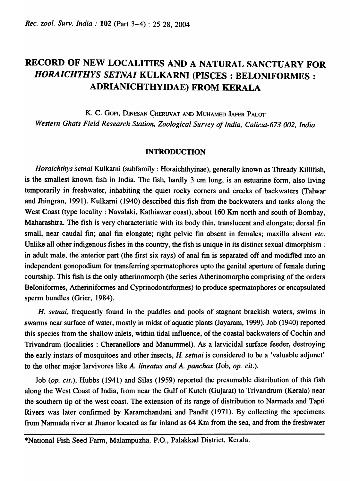## RECORD OF NEW LOCALITIES AND A NATURAL SANCTUARY FOR *HORAICHTHYS SETNAI* KULKARNI (PISCES: BELONIFORMES : ADRIANICHTHYIDAE) FROM KERALA

K. C. GOPI, DINESAN CHERUVAT AND MUHAMED JAFER PALOT *Western Ghats Field Research Station, Zoological Survey of India, Calicut-673 002, India* 

## **INTRODUCTION**

*Horaichthys setnai* Kulkarni (subfamily: Horaichthyinae), generally known as Thready Killifish, is the smallest known fish in India. The fish, hardly 3 cm long, is an estuarine form, also living temporarily in freshwater, inhabiting the quiet rocky comers and creeks of backwaters (Talwar and Jhingran, 1991). Kulkarni (1940) described this fish from the backwaters and tanks along the West Coast (type locality: Navalaki, Kathiawar coast), about 160 Km north and south of Bombay, Maharashtra. The fish is very characteristic with its body thin, translucent and elongate; dorsal fin small, near caudal fin; anal fin elongate; right pelvic fin absent in females; maxilla absent *etc.*  Unlike all other indigenous fishes in the country, the fish is unique in its distinct sexual dimorphism: in adult male, the anterior part (the first six rays) of anal fin is separated off and modified into an independent gonopodium for transferring spermatophores upto the genital aperture of female during courtship. This fish is the only atherinomorph (the series Atherinomorpha comprising of the orders Beloniformes, Atheriniformes and Cyprinodontiformes) to produce spermatophores or encapsulated sperm bundles (Grier, 1984).

H. *setnai,* frequently found in the puddles and pools of stagnant brackish waters, swims in swarms near surface of water, mostly in midst of aquatic plants (Jayaram, 1999). Job (1940) reported this species from the shallow inlets, within tidal influence, of the coastal backwaters of Cochin and Trivandrum (localities : Cheranellore and Manummel). As a larvicidal surface feeder, destroying the early instars of mosquitoes and other insects, H. *setnai* is considered to be a 'valuable adjunct' to the other major larvivores like A. *lineatus and A. panchax* (Job, *op. cit.*).

Job (op. cit.), Hubbs (1941) and Silas (1959) reported the presumable distribution of this fish along the West Coast of India, from near the Gulf of Kutch (Gujarat) to Trivandrum (Kerala) near the southern tip of the west coast. The extension of its range of distribution to Narmada and Tapti Rivers was later confirmed by Karamchandani and Pandit (1971). By collecting the specimens from Narmada river at Jhanor located as far inland as 64 Km from the sea, and from the freshwater

\*National Fish Seed Farm, Malampuzha. P.O., Palakkad District, Kerala.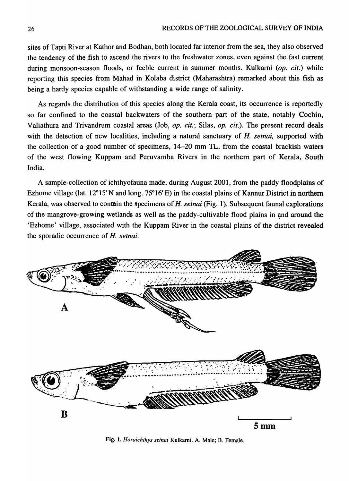sites of Tapti River at Kathor and Bodhan, both located far interior from the sea, they also observed the tendency of the fish to ascend the rivers to the freshwater zones, even against the fast current during monsoon-season floods, or feeble current in summer months. Kulkarni *(op. cit.)* while reporting this species from Mahad in Kolaba district (Maharashtra) remarked about this fish as being a hardy species capable of withstanding a wide range of salinity.

As regards the distribution of this species along the Kerala coast, its occurrence is reportedly so far confined to the coastal backwaters of the southern part of the state, notably Cochin, Valiathura and Trivandrum coastal areas (Job, *op. cit.*; Silas, *op. cit.*). The present record deals with the detection of new localities, including a natural sanctuary of H. *setnai,* supported with the collection of a good number of specimens, 14-20 mm 1L, from the coastal brackish waters of the west flowing Kuppam and Peruvamba Rivers in the northern part of Kerala, South India.

A sample-collection of ichthyofauna made, during August 2001, from the paddy floodplains of Ezhome village (lat. 12°15' N and long. 75°16' E) in the coastal plains of Kannur District in northern Kerala, was observed to contain the specimens of H. *setnai* (Fig. 1).' Subsequent faunal explorations of the mangrove-growing wetlands as well as the paddy-cultivable flood plains in and around the 'Ezhome' village, associated with the Kuppam River in the coastal plains of the district revealed the sporadic occurrence of H. *setnai.* 



Fig. 1. *Horaichthys setnai* Kulkarni. A. Male; B. Female.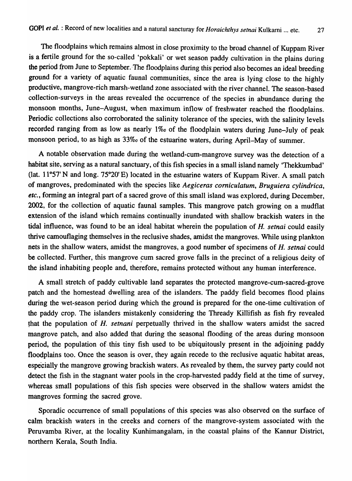The floodplains which remains almost in close proximity to the broad channel of Kuppam River is a fertile ground for the so-called 'pokkali' or wet season paddy cultivation in the plains during the period from June to September. The floodplains during this period also becomes an ideal breeding ground for a variety of aquatic faunal communities, since the area is lying close to the highly productive, mangrove-rich marsh-wetland zone associated with the river channel. The season-based collection-surveys in the areas revealed the occurrence of the species in abundance during the monsoon months, June-August, when maximum inflow of freshwater reached the floodplains. Periodic collections also corroborated the salinity tolerance of the species, with the salinity levels recorded ranging from as low as nearly 1% of the floodplain waters during June-July of peak monsoon period, to as high as *33%0* of the estuarine waters, during April-May of summer.

A notable observation made during the wetland-cum-mangrove survey was the detection of a habitat site, serving as a natural sanctuary, of this fish species in a small island namely 'Thekkumbad' (lat.  $11^{\circ}57'$  N and long.  $75^{\circ}20'$  E) located in the estuarine waters of Kuppam River. A small patch of mangroves, predominated with the species like *Aegiceras comiculatum, Bruguiera cylindrica, etc.,* forming an integral part of a sacred grove of this small island was explored, during December, 2002, for the collection of aquatic faunal samples. This mangrove patch growing on a mudflat extension of the island which remains continually inundated with shallow brackish waters in the tidal influence, was found to be an ideal habitat wherein the population of *H. setnai* could easily thrive camouflaging themselves in the reclusive shades, amidst the mangroves. While using plankton nets in the shallow waters, amidst the mangroves, a good number of specimens of *H. setna;* could be collected. Further, this mangrove cum sacred grove falls in the precinct of a religious deity of the island inhabiting people and, therefore, remains protected without any human interference.

A small stretch of paddy cultivable land separates the protected mangrove-cum-sacred-grove patch and the homestead dwelling area of the islanders. The paddy field becomes flood plains during the wet-season period during which the ground is prepared for the one-time cultivation of the paddy crop. The islanders mistakenly considering the Thready Killifish as fish fry revealed that the population of *H. setnani* perpetually thrived in the shallow waters amidst the sacred mangrove patch, and also added that during the seasonal flooding of the areas during monsoon period, the population of this tiny fish used to be ubiquitously present in the adjoining paddy floodplains too. Once the season is over, they again recede to the reclusive aquatic habitat areas, especially the mangrove growing brackish waters. As revealed by them, the survey party could not detect the fish in the stagnant water pools in the crop-harvested paddy field at the time of survey, whereas small populations of this fish species were observed in the shallow waters amidst the mangroves forming the sacred grove.

Sporadic occurrence of small populations of this species was also observed on the surface of calm brackish waters in the creeks and corners of the mangrove-system associated with the Peruvamba River, at the locality Kunhimangalam, in the coastal plains of the Kannur District, northern Kerala, South India.